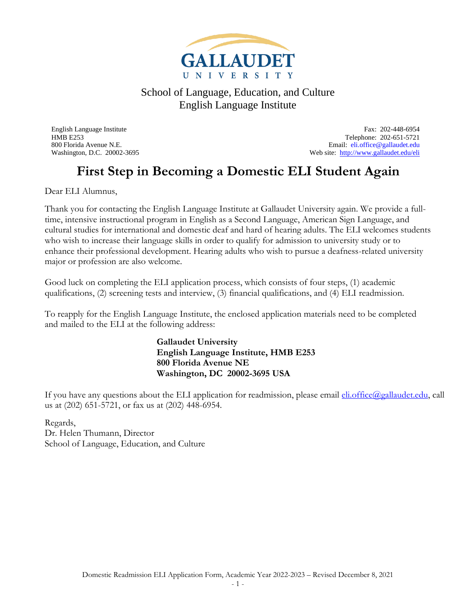

English Language Institute Fax: 202-448-6954 HMB E253 Telephone: 202-651-5721 800 Florida Avenue N.E.<br>
Web site: http://www.gallaudet.edu/eli<br>
Web site: http://www.gallaudet.edu/eli Web site: <http://www.gallaudet.edu/eli>

## **First Step in Becoming a Domestic ELI Student Again**

Dear ELI Alumnus,

Thank you for contacting the English Language Institute at Gallaudet University again. We provide a fulltime, intensive instructional program in English as a Second Language, American Sign Language, and cultural studies for international and domestic deaf and hard of hearing adults. The ELI welcomes students who wish to increase their language skills in order to qualify for admission to university study or to enhance their professional development. Hearing adults who wish to pursue a deafness-related university major or profession are also welcome.

Good luck on completing the ELI application process, which consists of four steps, (1) academic qualifications, (2) screening tests and interview, (3) financial qualifications, and (4) ELI readmission.

To reapply for the English Language Institute, the enclosed application materials need to be completed and mailed to the ELI at the following address:

> **Gallaudet University English Language Institute, HMB E253 800 Florida Avenue NE Washington, DC 20002-3695 USA**

If you have any questions about the ELI application for readmission, please email *eli.office@gallaudet.edu*, call us at (202) 651-5721, or fax us at (202) 448-6954.

Regards, Dr. Helen Thumann, Director School of Language, Education, and Culture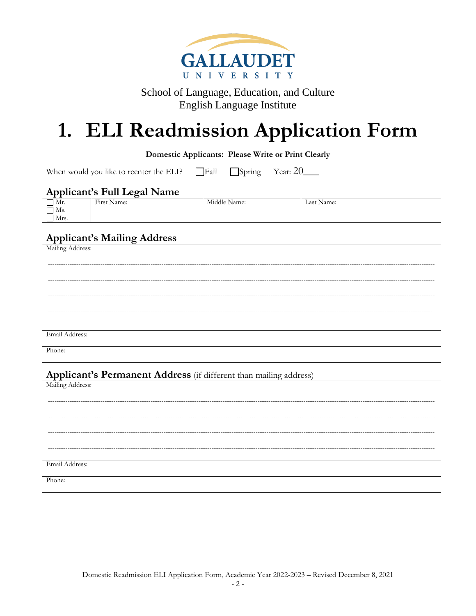

## 1. ELI Readmission Application Form

#### **Domestic Applicants: Please Write or Print Clearly**

When would you like to reenter the ELI?  $\Box$ Fall

Year:  $20$  $\Box$ Spring

#### **Applicant's Full Legal Name**

| $\mathbf{A}$<br>Mr. | First.<br>Name: | Middle Name: | Last Name: |
|---------------------|-----------------|--------------|------------|
| Ms.                 |                 |              |            |
| Mrs.                |                 |              |            |

### **Applicant's Mailing Address**

| --               |
|------------------|
| Mailing Address: |
|                  |
|                  |
|                  |
|                  |
|                  |
|                  |
|                  |
|                  |
| Email Address:   |
|                  |
| Phone:           |
|                  |

### Applicant's Permanent Address (if different than mailing address)

| Mailing Address: |
|------------------|
| -------          |
|                  |
| -----------      |
| ---------        |
|                  |
| --------------   |
| Email Address:   |
| Phone:           |
|                  |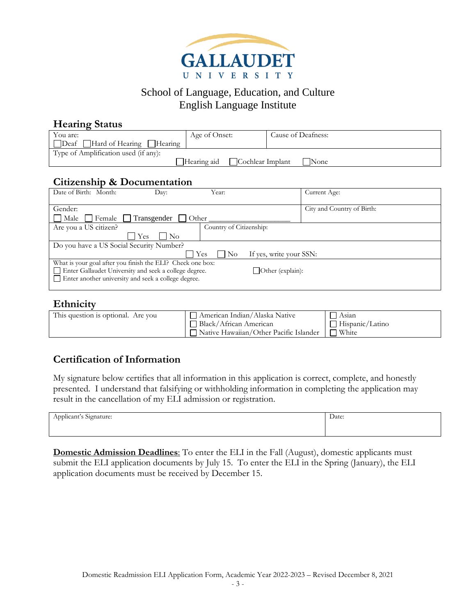

| <b>Hearing Status</b>                           |               |                    |  |  |
|-------------------------------------------------|---------------|--------------------|--|--|
| You are:                                        | Age of Onset: | Cause of Deafness: |  |  |
| Deaf Hard of Hearing Hearing                    |               |                    |  |  |
| Type of Amplification used (if any):            |               |                    |  |  |
| Cochlear Implant<br>Hearing aid<br><b>N</b> one |               |                    |  |  |
| Citizenship & Documentation                     |               |                    |  |  |

### **Citizenship & Documentation**

| Date of Birth: Month:                                      | Dav:                 | Year:                                    | Current Age:               |
|------------------------------------------------------------|----------------------|------------------------------------------|----------------------------|
|                                                            |                      |                                          |                            |
| Gender:                                                    |                      |                                          | City and Country of Birth: |
| Male<br>l Female                                           | Transgender<br>Other |                                          |                            |
| Are you a US citizen?                                      |                      | Country of Citizenship:                  |                            |
|                                                            | Yes<br>$\rm No$      |                                          |                            |
| Do you have a US Social Security Number?                   |                      |                                          |                            |
|                                                            |                      | If yes, write your SSN:<br>Yes<br>    No |                            |
| What is your goal after you finish the ELI? Check one box: |                      |                                          |                            |
| □ Enter Gallaudet University and seek a college degree.    |                      | $\Box$ Other (explain):                  |                            |
| $\Box$ Enter another university and seek a college degree. |                      |                                          |                            |
|                                                            |                      |                                          |                            |

### **Ethnicity**

| This question is optional. Are you | ] American Indian/Alaska Native        | Asian           |
|------------------------------------|----------------------------------------|-----------------|
|                                    | Black/African American                 | Hispanic/Latino |
|                                    | Native Hawaiian/Other Pacific Islander | 7 White         |

### **Certification of Information**

My signature below certifies that all information in this application is correct, complete, and honestly presented. I understand that falsifying or withholding information in completing the application may result in the cancellation of my ELI admission or registration.

| $\cdot$<br>.<br>Applicant's Signature: | Date: |  |
|----------------------------------------|-------|--|
|                                        |       |  |

**Domestic Admission Deadlines**: To enter the ELI in the Fall (August), domestic applicants must submit the ELI application documents by July 15. To enter the ELI in the Spring (January), the ELI application documents must be received by December 15.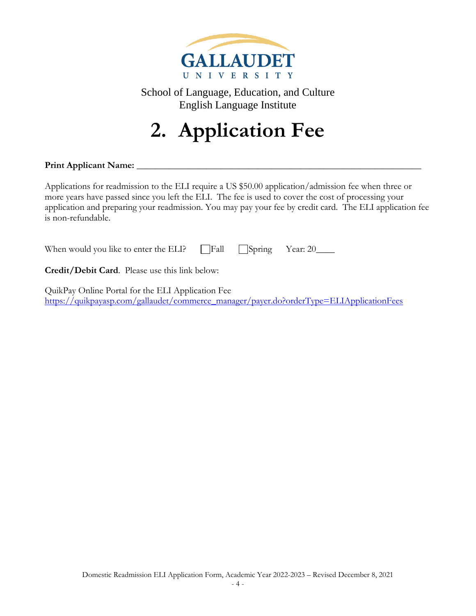

**2. Application Fee**

**Print Applicant Name:** \_\_\_\_\_\_\_\_\_\_\_\_\_\_\_\_\_\_\_\_\_\_\_\_\_\_\_\_\_\_\_\_\_\_\_\_\_\_\_\_\_\_\_\_\_\_\_\_\_\_\_\_\_\_\_\_\_\_\_\_\_

Applications for readmission to the ELI require a US \$50.00 application/admission fee when three or more years have passed since you left the ELI. The fee is used to cover the cost of processing your application and preparing your readmission. You may pay your fee by credit card. The ELI application fee is non-refundable.

| When would you like to enter the ELI? Fall Spring Year: 20____ |  |  |  |
|----------------------------------------------------------------|--|--|--|
|----------------------------------------------------------------|--|--|--|

**Credit/Debit Card**. Please use this link below:

QuikPay Online Portal for the ELI Application Fee [https://quikpayasp.com/gallaudet/commerce\\_manager/payer.do?orderType=ELIApplicationFees](https://quikpayasp.com/gallaudet/commerce_manager/payer.do?orderType=ELIApplicationFees)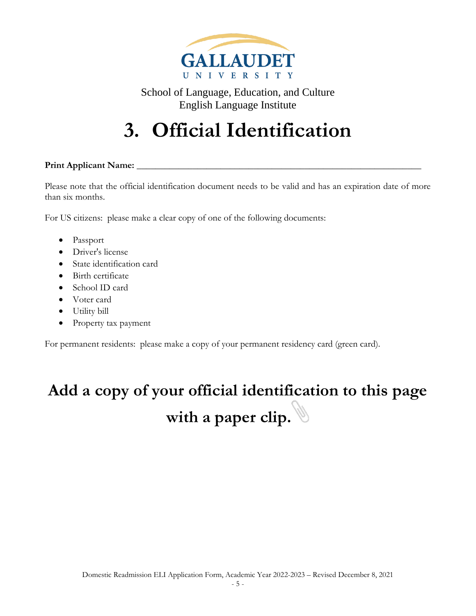

## **3. Official Identification**

#### **Print Applicant Name:** \_\_\_\_\_\_\_\_\_\_\_\_\_\_\_\_\_\_\_\_\_\_\_\_\_\_\_\_\_\_\_\_\_\_\_\_\_\_\_\_\_\_\_\_\_\_\_\_\_\_\_\_\_\_\_\_\_\_\_\_\_

Please note that the official identification document needs to be valid and has an expiration date of more than six months.

For US citizens: please make a clear copy of one of the following documents:

- Passport
- Driver's license
- State identification card
- Birth certificate
- School ID card
- Voter card
- Utility bill
- Property tax payment

For permanent residents: please make a copy of your permanent residency card (green card).

## **Add a copy of your official identification to this page with a paper clip.**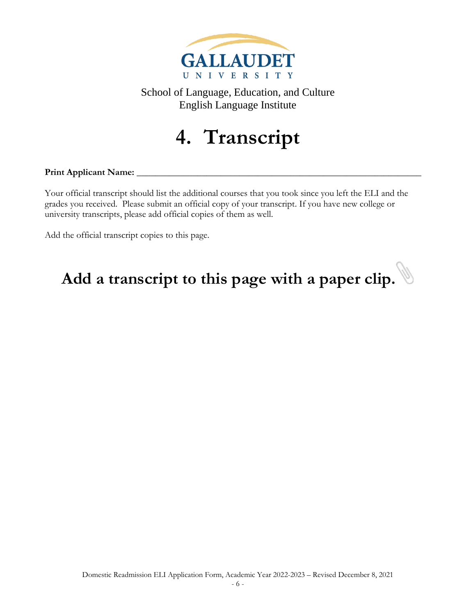

## **4. Transcript**

#### **Print Applicant Name:** \_\_\_\_\_\_\_\_\_\_\_\_\_\_\_\_\_\_\_\_\_\_\_\_\_\_\_\_\_\_\_\_\_\_\_\_\_\_\_\_\_\_\_\_\_\_\_\_\_\_\_\_\_\_\_\_\_\_\_\_\_

Your official transcript should list the additional courses that you took since you left the ELI and the grades you received. Please submit an official copy of your transcript. If you have new college or university transcripts, please add official copies of them as well.

Add the official transcript copies to this page.

# Add a transcript to this page with a paper clip.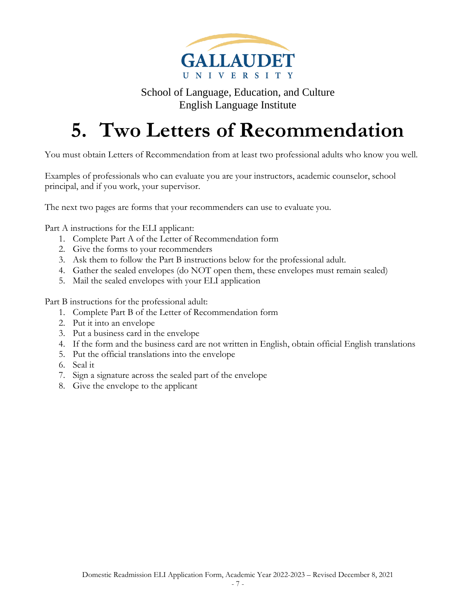

## **5. Two Letters of Recommendation**

You must obtain Letters of Recommendation from at least two professional adults who know you well.

Examples of professionals who can evaluate you are your instructors, academic counselor, school principal, and if you work, your supervisor.

The next two pages are forms that your recommenders can use to evaluate you.

Part A instructions for the ELI applicant:

- 1. Complete Part A of the Letter of Recommendation form
- 2. Give the forms to your recommenders
- 3. Ask them to follow the Part B instructions below for the professional adult.
- 4. Gather the sealed envelopes (do NOT open them, these envelopes must remain sealed)
- 5. Mail the sealed envelopes with your ELI application

Part B instructions for the professional adult:

- 1. Complete Part B of the Letter of Recommendation form
- 2. Put it into an envelope
- 3. Put a business card in the envelope
- 4. If the form and the business card are not written in English, obtain official English translations
- 5. Put the official translations into the envelope
- 6. Seal it
- 7. Sign a signature across the sealed part of the envelope
- 8. Give the envelope to the applicant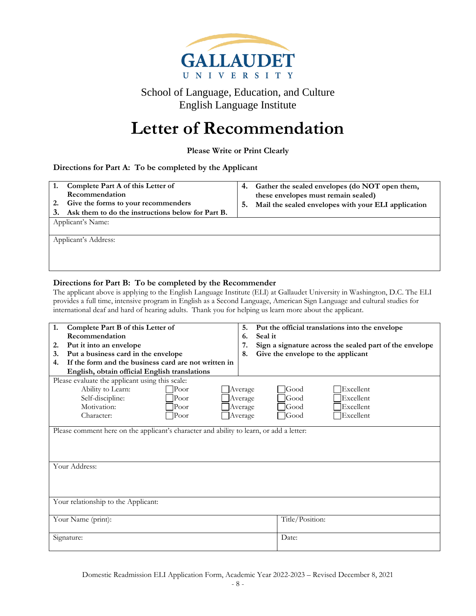

## **Letter of Recommendation**

**Please Write or Print Clearly**

#### **Directions for Part A: To be completed by the Applicant**

| Complete Part A of this Letter of<br>1.<br>Recommendation<br>Give the forms to your recommenders<br>2.<br>Ask them to do the instructions below for Part B.<br>Applicant's Name: |                      | 4.<br>5. | Gather the sealed envelopes (do NOT open them,<br>these envelopes must remain sealed)<br>Mail the sealed envelopes with your ELI application |
|----------------------------------------------------------------------------------------------------------------------------------------------------------------------------------|----------------------|----------|----------------------------------------------------------------------------------------------------------------------------------------------|
|                                                                                                                                                                                  | Applicant's Address: |          |                                                                                                                                              |

#### **Directions for Part B: To be completed by the Recommender**

The applicant above is applying to the English Language Institute (ELI) at Gallaudet University in Washington, D.C. The ELI provides a full time, intensive program in English as a Second Language, American Sign Language and cultural studies for international deaf and hard of hearing adults. Thank you for helping us learn more about the applicant.

| 1.<br>Complete Part B of this Letter of                                                 | Put the official translations into the envelope<br>5.         |  |  |  |
|-----------------------------------------------------------------------------------------|---------------------------------------------------------------|--|--|--|
| Recommendation                                                                          | Seal it<br>6.                                                 |  |  |  |
| Put it into an envelope<br>2.                                                           | 7.<br>Sign a signature across the sealed part of the envelope |  |  |  |
| Put a business card in the envelope<br>3.                                               | Give the envelope to the applicant<br>8.                      |  |  |  |
| If the form and the business card are not written in<br>4.                              |                                                               |  |  |  |
| English, obtain official English translations                                           |                                                               |  |  |  |
| Please evaluate the applicant using this scale:                                         |                                                               |  |  |  |
| Ability to Learn:<br>P <sub>oor</sub>                                                   | lExcellent.<br><b>Good</b><br>Average                         |  |  |  |
| Self-discipline:<br>$\rm{Poor}$                                                         | Excellent<br>Good<br>Average                                  |  |  |  |
| Motivation:<br>$ $ Poor                                                                 | Excellent<br>lGood<br>Average                                 |  |  |  |
| Character:<br>$ $ Poor                                                                  | $\exists$ Good<br>Excellent<br>Average                        |  |  |  |
|                                                                                         |                                                               |  |  |  |
| Please comment here on the applicant's character and ability to learn, or add a letter: |                                                               |  |  |  |
| Your Address:                                                                           |                                                               |  |  |  |
| Your relationship to the Applicant:                                                     |                                                               |  |  |  |
| Your Name (print):                                                                      | Title/Position:                                               |  |  |  |
| Signature:                                                                              | Date:                                                         |  |  |  |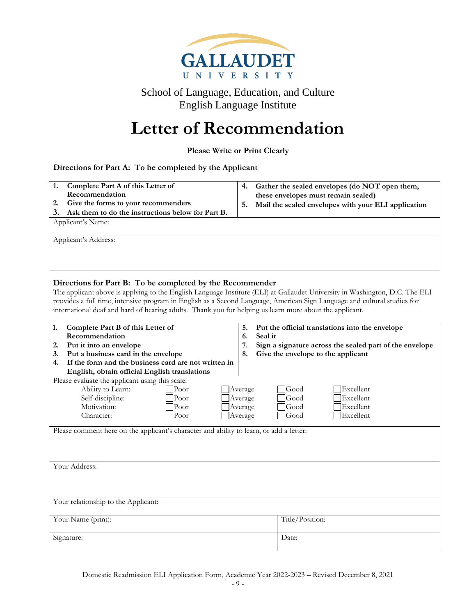

## **Letter of Recommendation**

**Please Write or Print Clearly**

#### **Directions for Part A: To be completed by the Applicant**

| these envelopes must remain sealed)<br>Mail the sealed envelopes with your ELI application<br>5. |
|--------------------------------------------------------------------------------------------------|
|                                                                                                  |
|                                                                                                  |

#### **Directions for Part B: To be completed by the Recommender**

The applicant above is applying to the English Language Institute (ELI) at Gallaudet University in Washington, D.C. The ELI provides a full time, intensive program in English as a Second Language, American Sign Language and cultural studies for international deaf and hard of hearing adults. Thank you for helping us learn more about the applicant.

| 1.<br>Complete Part B of this Letter of                                                 | 5.<br>Put the official translations into the envelope         |  |  |  |
|-----------------------------------------------------------------------------------------|---------------------------------------------------------------|--|--|--|
| Recommendation                                                                          | Seal it<br>6.                                                 |  |  |  |
| Put it into an envelope<br>2.                                                           | Sign a signature across the sealed part of the envelope<br>7. |  |  |  |
| Put a business card in the envelope<br>3.                                               | Give the envelope to the applicant<br>8.                      |  |  |  |
| If the form and the business card are not written in<br>4.                              |                                                               |  |  |  |
| English, obtain official English translations                                           |                                                               |  |  |  |
| Please evaluate the applicant using this scale:                                         |                                                               |  |  |  |
| Ability to Learn:<br>P <sub>oor</sub>                                                   | lExcellent<br><b>Good</b><br>Average                          |  |  |  |
| Self-discipline:<br>Poor                                                                | Excellent<br>lGood<br>Average                                 |  |  |  |
| Motivation:<br>Poor                                                                     | Excellent<br>lGood<br>Average                                 |  |  |  |
| Poor<br>Character:                                                                      | Excellent<br>$\Box$ Good<br>Average                           |  |  |  |
| Please comment here on the applicant's character and ability to learn, or add a letter: |                                                               |  |  |  |
| Your Address:                                                                           |                                                               |  |  |  |
| Your relationship to the Applicant:                                                     |                                                               |  |  |  |
| Your Name (print):                                                                      | Title/Position:                                               |  |  |  |
| Signature:                                                                              | Date:                                                         |  |  |  |